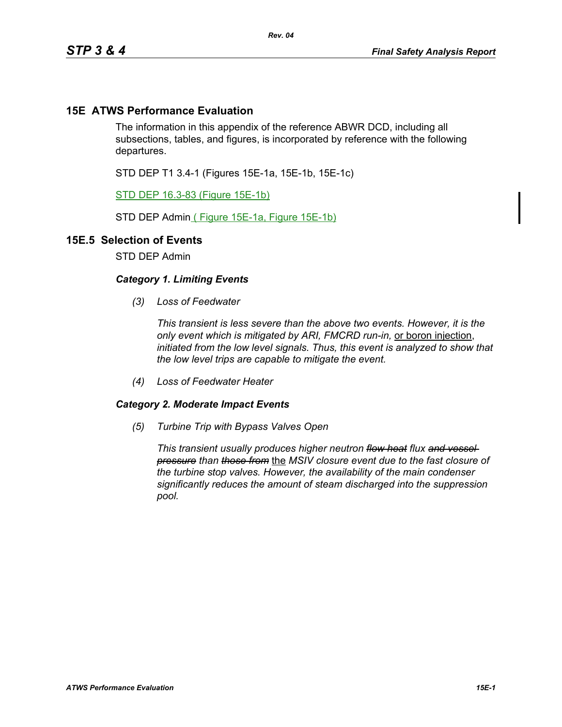## **15E ATWS Performance Evaluation**

The information in this appendix of the reference ABWR DCD, including all subsections, tables, and figures, is incorporated by reference with the following departures.

STD DEP T1 3.4-1 (Figures 15E-1a, 15E-1b, 15E-1c)

STD DEP 16.3-83 (Figure 15E-1b)

STD DEP Admin ( Figure 15E-1a, Figure 15E-1b)

## **15E.5 Selection of Events**

STD DEP Admin

## *Category 1. Limiting Events*

*(3) Loss of Feedwater*

*This transient is less severe than the above two events. However, it is the only event which is mitigated by ARI, FMCRD run-in,* or boron injection, *initiated from the low level signals. Thus, this event is analyzed to show that the low level trips are capable to mitigate the event.*

*(4) Loss of Feedwater Heater*

## *Category 2. Moderate Impact Events*

*(5) Turbine Trip with Bypass Valves Open*

*This transient usually produces higher neutron flow heat flux and vessel pressure than those from* the *MSIV closure event due to the fast closure of the turbine stop valves. However, the availability of the main condenser significantly reduces the amount of steam discharged into the suppression pool.*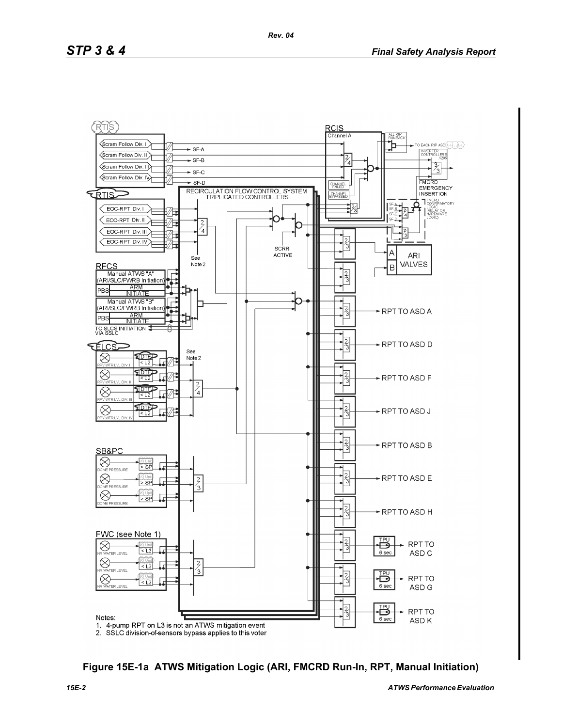

**Figure 15E-1a ATWS Mitigation Logic (ARI, FMCRD Run-In, RPT, Manual Initiation)**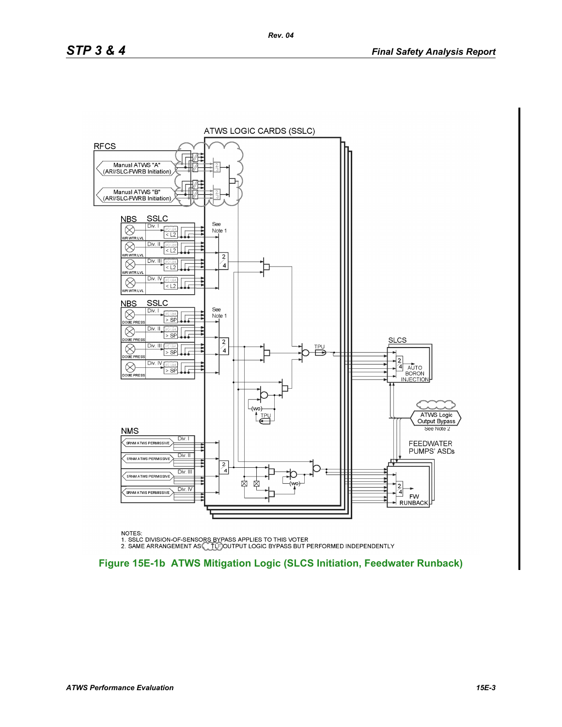

NOTES:

NOTES.<br>1. SSLC DIVISION-OF-SENSORS BYPASS APPLIES TO THIS VOTER<br>2. SAME ARRANGEMENT AS CLEIGOUTPUT LOGIC BYPASS BUT PERFORMED INDEPENDENTLY

**Figure 15E-1b ATWS Mitigation Logic (SLCS Initiation, Feedwater Runback)**